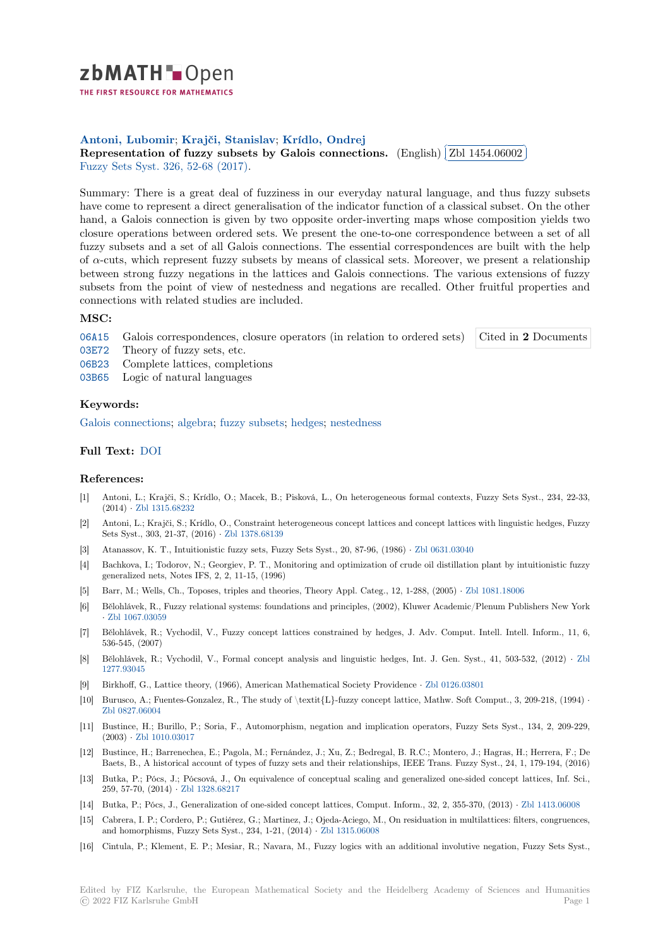

THE FIRST RESOURCE FOR MATHEMATICS

# **Antoni, Lubomir**; **Krajči, Stanislav**; **Krídlo, Ondrej**

Antom, Lubomn; Krajer, Stamslav, Kridio, Ondrej<br>[R](https://zbmath.org/)epresentation of fuzzy subsets by Galois connections. (English) ✂ Zbl 1454.06002 l. Ļ, Fuzzy Sets Syst. 326, 52-68 (2017).

[Summary: There is](https://zbmath.org/authors/?q=ai:antoni.lubomir) [a great deal of fuzz](https://zbmath.org/authors/?q=ai:krajci.stanislav)i[ness in our everyd](https://zbmath.org/authors/?q=ai:kridlo.ondrej)ay natural language, and thus fuzzy subsets [have come to represent a direct generalisation of the indicator fu](https://zbmath.org/1454.06002)nction ofa [classical subset. O](https://zbmath.org/1454.06002)n the other [hand, a Galois c](https://zbmath.org/journals/?q=se:428)[onnection is given](https://zbmath.org/?q=in:374310) by two opposite order-inverting maps whose composition yields two closure operations between ordered sets. We present the one-to-one correspondence between a set of all fuzzy subsets and a set of all Galois connections. The essential correspondences are built with the help of *α*-cuts, which represent fuzzy subsets by means of classical sets. Moreover, we present a relationship between strong fuzzy negations in the lattices and Galois connections. The various extensions of fuzzy subsets from the point of view of nestedness and negations are recalled. Other fruitful properties and connections with related studies are included.

## **MSC:**

06A15 Galois correspondences, closure operators (in relation to ordered sets) Cited in **2** Documents

- 03E72 Theory of fuzzy sets, etc.
- 06B23 Complete lattices, completions
- 03B65 Logic of natural languages

### **[Keyw](https://zbmath.org/classification/?q=cc:03E72)ords:**

[Galois](https://zbmath.org/classification/?q=cc:06B23) connections; algebra; fuzzy subsets; hedges; nestedness

## **Full Text:** DOI

#### **[References:](https://zbmath.org/?q=ut:Galois+connections)**

- [1] Antoni, L.; Krajči, S.; Krídlo, O.; Macek, B.; Pisková, L., On heterogeneous formal contexts, Fuzzy Sets Syst., 234, 22-33, (2014) *·* [Zbl 131](https://dx.doi.org/10.1016/j.fss.2017.05.020)5.68232
- [2] Antoni, L.; Krajči, S.; Krídlo, O., Constraint heterogeneous concept lattices and concept lattices with linguistic hedges, Fuzzy Sets Syst., 303, 21-37, (2016) *·* Zbl 1378.68139
- [3] Atanassov, K. T., Intuitionistic fuzzy sets, Fuzzy Sets Syst., 20, 87-96, (1986) *·* Zbl 0631.03040
- [4] Bachkov[a, I.; Todorov, N](https://zbmath.org/1315.68232).; Georgiev, P. T., Monitoring and optimization of crude oil distillation plant by intuitionistic fuzzy generalized nets, Notes IFS, 2, 2, 11-15, (1996)
- [5] Barr, M.; Wells, Ch., Toposes, [triples and theo](https://zbmath.org/1378.68139)ries, Theory Appl. Categ., 12, 1-288, (2005) *·* Zbl 1081.18006
- [6] Bělohlávek, R., Fuzzy relational systems: foundations and principles, (2002), Kl[uwer Academic/](https://zbmath.org/0631.03040)Plenum Publishers New York *·* Zbl 1067.03059
- [7] Bělohlávek, R.; Vychodil, V., Fuzzy concept lattices constrained by hedges, J. Adv. Comput. Intell. Intell. Inform., 11, 6, 536-545, (2007)
- [8] Bělohlávek, R.; Vychodil, V., Formal concept analysis and linguistic hedges, Int. J. Gen. Syst., 41, 503-532, (2012) *·* Zbl 1[277.93045](https://zbmath.org/1067.03059)
- [9] Birkhoff, G., Lattice theory, (1966), American Mathematical Society Providence *·* Zbl 0126.03801
- [10] Burusco, A.; Fuentes-Gonzalez, R., The study of \textit{L}-fuzzy concept lattice, Mathw. Soft Comput., 3, 209-218, (1994) *·* Zbl 0827.06004
- [11] [Bustince, H](https://zbmath.org/1277.93045).; Burillo, P.; Soria, F., Automorphism, negation and implication operators, Fuzzy Sets Syst., 134, 2, 209-229, (2003) *·* Zbl 1010.03017
- [12] Bustince, H.; Barrenechea, E.; Pagola, M.; Fernández, J.; Xu, Z.; Bedregal, B. R.C.; Montero, J.; Hagras, H.; Herrera, F.; De [Baets, B., A his](https://zbmath.org/0827.06004)torical account of types of fuzzy sets and their relationships, IEEE Trans. Fuzzy Syst., 24, 1, 179-194, (2016)
- [13] Butka, P.; Pócs, J.; Pócsová, J., On equivalence of conceptual scaling and generalized one-sided concept lattices, Inf. Sci., 259, 57-[70, \(2014\)](https://zbmath.org/1010.03017) *·* Zbl 1328.68217
- [14] Butka, P.; Pócs, J., Generalization of one-sided concept lattices, Comput. Inform., 32, 2, 355-370, (2013) *·* Zbl 1413.06008
- [15] Cabrera, I. P.; Cordero, P.; Gutiérez, G.; Martinez, J.; Ojeda-Aciego, M., On residuation in multilattices: filters, congruences, and homorphisms, Fuzzy Sets Syst., 234, 1-21, (2014) *·* Zbl 1315.06008
- [16] Cintula, P.; Klemen[t, E. P.; Mesiar](https://zbmath.org/1328.68217), R.; Navara, M., Fuzzy logics with an additional involutive negation, Fuzzy Sets Syst.,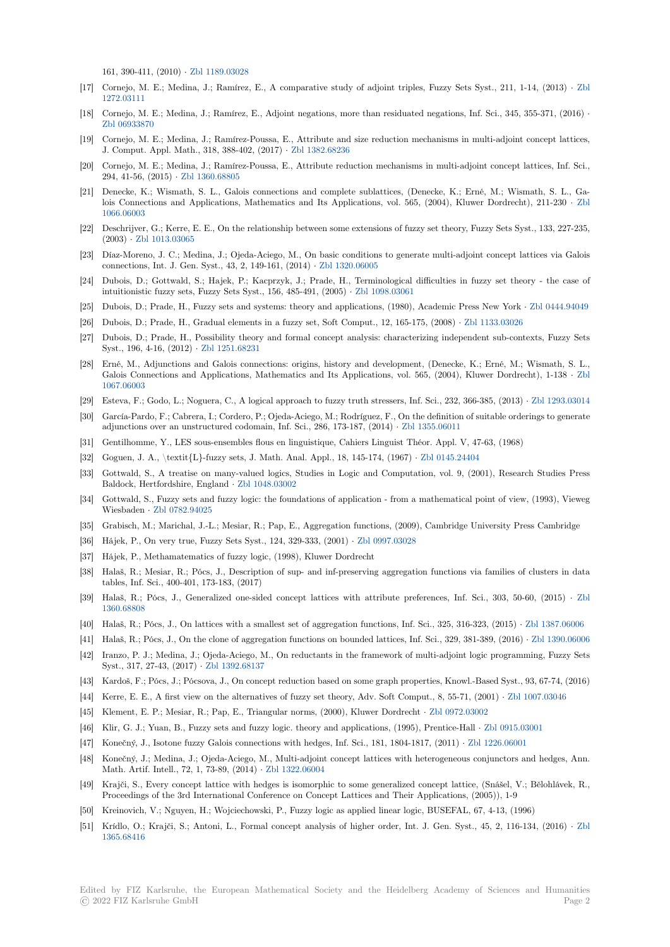161, 390-411, (2010) *·* Zbl 1189.03028

- [17] Cornejo, M. E.; Medina, J.; Ramírez, E., A comparative study of adjoint triples, Fuzzy Sets Syst., 211, 1-14, (2013) *·* Zbl 1272.03111
- [18] Cornejo, M. E.; Medina, J.; Ramírez, E., Adjoint negations, more than residuated negations, Inf. Sci., 345, 355-371, (2016) *·* Zbl 06933870
- [19] Cornejo, M. E.; Medina, J.; Ramírez-Poussa, E., Attribute and size reduction mechanisms in multi-adjoint concept latti[ces,](https://zbmath.org/1272.03111) [J. Comput.](https://zbmath.org/1272.03111) Appl. Math., 318, 388-402, (2017) *·* Zbl 1382.68236
- [20] Cornejo, M. E.; Medina, J.; Ramírez-Poussa, E., Attribute reduction mechanisms in multi-adjoint concept lattices, Inf. Sci., [294, 41-56, \(2](https://zbmath.org/06933870)015) *·* Zbl 1360.68805
- [21] Denecke, K.; Wismath, S. L., Galois connections and complete sublattices, (Denecke, K.; Erné, M.; Wismath, S. L., Galois Connections and Applications, Mathemati[cs and Its Appl](https://zbmath.org/1382.68236)ications, vol. 565, (2004), Kluwer Dordrecht), 211-230 *·* Zbl 1066.06003
- [22] Deschrijver, G.; Ker[re, E. E., On th](https://zbmath.org/1360.68805)e relationship between some extensions of fuzzy set theory, Fuzzy Sets Syst., 133, 227-235, (2003) *·* Zbl 1013.03065
- [23] Díaz-Moreno, J. C.; Medina, J.; Ojeda-Aciego, M., On basic conditions to generate multi-adjoint concept lattices via Ga[lois](https://zbmath.org/1066.06003) [connections](https://zbmath.org/1066.06003), Int. J. Gen. Syst., 43, 2, 149-161, (2014) *·* Zbl 1320.06005
- [24] Dubois, D.; Gottwald, S.; Hajek, P.; Kacprzyk, J.; Prade, H., Terminological difficulties in fuzzy set theory the case of intuition[istic fuzzy sets,](https://zbmath.org/1013.03065) Fuzzy Sets Syst., 156, 485-491, (2005) *·* Zbl 1098.03061
- [25] Dubois, D.; Prade, H., Fuzzy sets and systems: theory and applications, (1980), Academic Press New York *·* Zbl 0444.94049
- [26] Dubois, D.; Prade, H., Gradual elements in a fuzzy set, [Soft Comput.,](https://zbmath.org/1320.06005) 12, 165-175, (2008) *·* Zbl 1133.03026
- [27] Dubois, D.; Prade, H., Possibility theory and formal concept a[nalysis: characte](https://zbmath.org/1098.03061)rizing independent sub-contexts, Fuzzy Sets Syst., 196, 4-16, (2012) *·* Zbl 1251.68231
- [28] Erné, M., Adjunctions and Galois connections: origins, history and development, (Denecke, K.; Erné, M.; [Wismath, S. L.,](https://zbmath.org/0444.94049) Galois Connections and Applications, Mathematics and Its Applications, vol. 565, (2004), [Kluwer Dordre](https://zbmath.org/1133.03026)cht), 1-138 *·* Zbl 1067.06003
- [29] Esteva, F.; Godo, L.; No[guera, C., A logi](https://zbmath.org/1251.68231)cal approach to fuzzy truth stressers, Inf. Sci., 232, 366-385, (2013) *·* Zbl 1293.03014
- [30] García-Pardo, F.; Cabrera, I.; Cordero, P.; Ojeda-Aciego, M.; Rodríguez, F., On the definition of suitable orderings to generate adjunctions over an unstructured codomain, Inf. Sci., 286, 173-187, (2014) *·* Zbl 1355.06011
- [31] [Gentilhomm](https://zbmath.org/1067.06003)e, Y., LES sous-ensembles flous en linguistique, Cahiers Linguist Théor. Appl. V, 47-63, (1968)
- [32] Goguen, J. A., \textit{L}-fuzzy sets, J. Math. Anal. Appl., 18, 145-174, (1967) *·* Zbl 0145.24404
- [33] Gottwald, S., A treatise on many-valued logics, Studies in Logic and Com[putation, vol. 9](https://zbmath.org/1355.06011), (2001), Research Studies Press Baldock, Hertfordshire, England *·* Zbl 1048.03002
- [34] Gottwald, S., Fuzzy sets and fuzzy logic: the foundations of application from a mathematical point of view, (1993), Vieweg Wiesbaden *·* Zbl 0782.94025
- [35] Grabisch, M.; Marichal, J.-L.; Mesiar, R.; Pap, E., Aggregation functions, (2009), Cambridge University Press Cambridge
- [36] Hájek, P., On very true, Fuzzy Se[ts Syst., 124, 32](https://zbmath.org/1048.03002)9-333, (2001) *·* Zbl 0997.03028
- [37] Hájek, P., Methamatematics of fuzzy logic, (1998), Kluwer Dordrecht
- [38] Halaš, R.; M[esiar, R.; Pócs,](https://zbmath.org/0782.94025) J., Description of sup- and inf-preserving aggregation functions via families of clusters in data tables, Inf. Sci., 400-401, 173-183, (2017)
- [39] Halaš, R.; Pócs, J., Generalized one-sided concept lattices wit[h attribute pre](https://zbmath.org/0997.03028)ferences, Inf. Sci., 303, 50-60, (2015) *·* Zbl 1360.68808
- [40] Halaš, R.; Pócs, J., On lattices with a smallest set of aggregation functions, Inf. Sci., 325, 316-323, (2015) *·* Zbl 1387.06006
- [41] Halaš, R.; Pócs, J., On the clone of aggregation functions on bounded lattices, Inf. Sci., 329, 381-389, (2016) *·* Zbl 1390.06006
- [42] Iranzo, P. J.; Medina, J.; Ojeda-Aciego, M., On reductants in the framework of multi-adjoint logic programming, Fuzzy [Sets](https://zbmath.org/1360.68808) [Syst., 317,](https://zbmath.org/1360.68808) 27-43, (2017) *·* Zbl 1392.68137
- [43] Kardoš, F.; Pócs, J.; Pócsova, J., On concept reduction based on some graph properties, Knowl.-Based Syst., [93, 67-74, \(2016](https://zbmath.org/1387.06006))
- [44] Kerre, E. E., A first view on the alternatives of fuzzy set theory, Adv. Soft Comput., 8, 55-71, (2001) *·* Zbl 1[007.03046](https://zbmath.org/1390.06006)
- [45] Klement, E. P.; Mesiar, R.; Pap, E., Triangular norms, (2000), Kluwer Dordrecht *·* Zbl 0972.03002
- [46] Klir, G. J.; Yuan, B., Fuz[zy sets and fuzz](https://zbmath.org/1392.68137)y logic. theory and applications, (1995), Prentice-Hall *·* Zbl 0915.03001
- [47] Konečný, J., Isotone fuzzy Galois connections with hedges, Inf. Sci., 181, 1804-1817, (2011) *·* Zbl 1226.06001
- [48] Konečný, J.; Medina, J.; Ojeda-Aciego, M., Multi-adjoint concept lattices with het[erogeneous conj](https://zbmath.org/0972.03002)unct[ors and hedges,](https://zbmath.org/1007.03046) Ann. Math. Artif. Intell., 72, 1, 73-89, (2014) *·* Zbl 1322.06004
- [49] Krajči, S., Every concept lattice with hedges is isomorphic to some generalized concept lattice, [\(Snášel, V.; Běl](https://zbmath.org/0915.03001)ohlávek, R., Proceedings of the 3rd International Conference on Concept Lattices and Their Applications[, \(2005\)\), 1-9](https://zbmath.org/1226.06001)
- [50] Kreinovich, V.; Nguyen, H.; Wojciechowski, P., Fuzzy logic as applied linear logic, BUSEFAL, 67, 4-13, (1996)
- [51] Krídlo, O.; Krajči, S.; Antoni, L., Forma[l concept analy](https://zbmath.org/1322.06004)sis of higher order, Int. J. Gen. Syst., 45, 2, 116-134, (2016) *·* Zbl 1365.68416